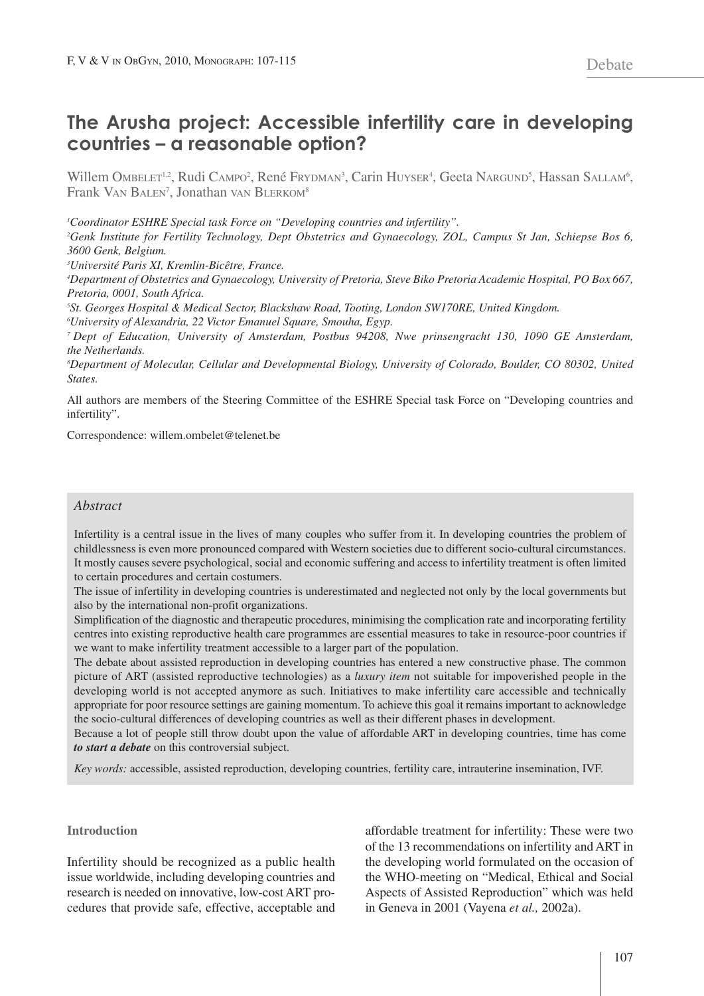# **The Arusha project: Accessible infertility care in developing countries – a reasonable option?**

Willem Ombelet<sup>1,2</sup>, Rudi Campo<sup>2</sup>, René Frydman<sup>3</sup>, Carin Huyser<sup>4</sup>, Geeta Nargund<sup>5</sup>, Hassan Sallam<sup>6</sup>, Frank VAN BALEN<sup>7</sup>, Jonathan vAN BLERKOM<sup>8</sup>

*1 Coordinator ESHRE Special task Force on "Developing countries and infertility".*

<sup>2</sup>Genk Institute for Fertility Technology, Dept Obstetrics and Gynaecology, ZOL, Campus St Jan, Schiepse Bos 6, *3600 Genk, Belgium.*

*3 Université Paris XI, Kremlin-Bicêtre, France.*

4Department of Obstetrics and Gynaecology, University of Pretoria, Steve Biko Pretoria Academic Hospital, PO Box 667, *Pretoria, 0001, South Africa.*

*5 St. Georges Hospital & Medical Sector, Blackshaw Road, Tooting, London SW170RE, United Kingdom. 6 University of Alexandria, 22 Victor Emanuel Square, Smouha, Egyp.*

*<sup>7</sup> Dept of Education, University of Amsterdam, Postbus 94208, Nwe prinsengracht 130, 1090 GE Amsterdam, the Netherlands.*

*8 Department of Molecular, Cellular and Developmental Biology, University of Colorado, Boulder, CO 80302, United States.*

All authors are members of the Steering Committee of the ESHRE Special task Force on "Developing countries and infertility".

Correspondence: willem.ombelet@telenet.be

## *Abstract*

Infertility is a central issue in the lives of many couples who suffer from it. In developing countries the problem of childlessness is even more pronounced compared with Western societies due to different socio-cultural circumstances. It mostly causes severe psychological, social and economic suffering and access to infertility treatment is often limited to certain procedures and certain costumers.

The issue of infertility in developing countries is underestimated and neglected not only by the local governments but also by the international non-profit organizations.

Simplification of the diagnostic and therapeutic procedures, minimising the complication rate and incorporating fertility centres into existing reproductive health care programmes are essential measures to take in resource-poor countries if we want to make infertility treatment accessible to a larger part of the population.

The debate about assisted reproduction in developing countries has entered a new constructive phase. The common picture of ART (assisted reproductive technologies) as a *luxury item* not suitable for impoverished people in the developing world is not accepted anymore as such. Initiatives to make infertility care accessible and technically appropriate for poor resource settings are gaining momentum. To achieve this goal it remains important to acknowledge the socio-cultural differences of developing countries as well as their different phases in development.

Because a lot of people still throw doubt upon the value of affordable ART in developing countries, time has come *to start a debate* on this controversial subject.

*Key words:* accessible, assisted reproduction, developing countries, fertility care, intrauterine insemination, IVF.

## **Introduction**

Infertility should be recognized as a public health issue worldwide, including developing countries and research is needed on innovative, low-cost ART procedures that provide safe, effective, acceptable and affordable treatment for infertility: These were two of the 13 recommendations on infertility and ART in the developing world formulated on the occasion of the WHO-meeting on "Medical, Ethical and Social Aspects of Assisted Reproduction" which was held in Geneva in 2001 (Vayena *et al.,* 2002a).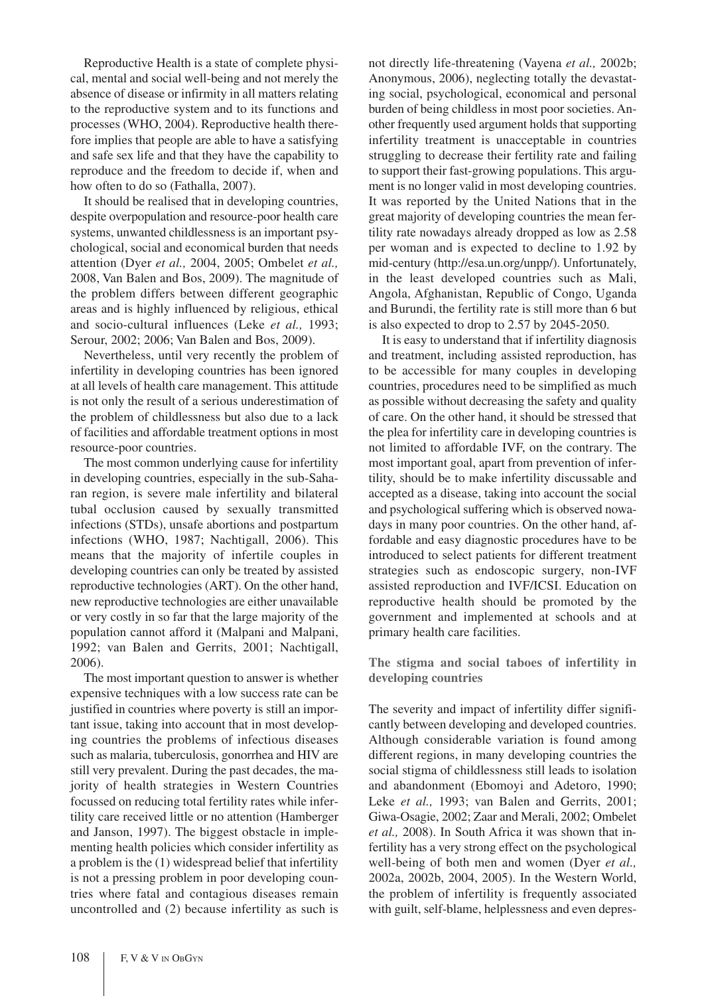Reproductive Health is a state of complete physical, mental and social well-being and not merely the absence of disease or infirmity in all matters relating to the reproductive system and to its functions and processes (WHO, 2004). Reproductive health therefore implies that people are able to have a satisfying and safe sex life and that they have the capability to reproduce and the freedom to decide if, when and how often to do so (Fathalla, 2007).

It should be realised that in developing countries, despite overpopulation and resource-poor health care systems, unwanted childlessness is an important psychological, social and economical burden that needs attention (Dyer *et al.,* 2004, 2005; Ombelet *et al.,* 2008, Van Balen and Bos, 2009). The magnitude of the problem differs between different geographic areas and is highly influenced by religious, ethical and socio-cultural influences (Leke *et al.,* 1993; Serour, 2002; 2006; Van Balen and Bos, 2009).

Nevertheless, until very recently the problem of infertility in developing countries has been ignored at all levels of health care management. This attitude is not only the result of a serious underestimation of the problem of childlessness but also due to a lack of facilities and affordable treatment options in most resource-poor countries.

The most common underlying cause for infertility in developing countries, especially in the sub-Saharan region, is severe male infertility and bilateral tubal occlusion caused by sexually transmitted infections (STDs), unsafe abortions and postpartum infections (WHO, 1987; Nachtigall, 2006). This means that the majority of infertile couples in developing countries can only be treated by assisted reproductive technologies (ART). On the other hand, new reproductive technologies are either unavailable or very costly in so far that the large majority of the population cannot afford it (Malpani and Malpani, 1992; van Balen and Gerrits, 2001; Nachtigall, 2006).

The most important question to answer is whether expensive techniques with a low success rate can be justified in countries where poverty is still an important issue, taking into account that in most developing countries the problems of infectious diseases such as malaria, tuberculosis, gonorrhea and HIV are still very prevalent. During the past decades, the majority of health strategies in Western Countries focussed on reducing total fertility rates while infertility care received little or no attention (Hamberger and Janson, 1997). The biggest obstacle in implementing health policies which consider infertility as a problem is the (1) widespread belief that infertility is not a pressing problem in poor developing countries where fatal and contagious diseases remain uncontrolled and (2) because infertility as such is

not directly life-threatening (Vayena *et al.,* 2002b; Anonymous, 2006), neglecting totally the devastating social, psychological, economical and personal burden of being childless in most poor societies. Another frequently used argument holds that supporting infertility treatment is unacceptable in countries struggling to decrease their fertility rate and failing to support their fast-growing populations. This argument is no longer valid in most developing countries. It was reported by the United Nations that in the great majority of developing countries the mean fertility rate nowadays already dropped as low as 2.58 per woman and is expected to decline to 1.92 by mid-century (http://esa.un.org/unpp/). Unfortunately, in the least developed countries such as Mali, Angola, Afghanistan, Republic of Congo, Uganda and Burundi, the fertility rate is still more than 6 but is also expected to drop to 2.57 by 2045-2050.

It is easy to understand that if infertility diagnosis and treatment, including assisted reproduction, has to be accessible for many couples in developing countries, procedures need to be simplified as much as possible without decreasing the safety and quality of care. On the other hand, it should be stressed that the plea for infertility care in developing countries is not limited to affordable IVF, on the contrary. The most important goal, apart from prevention of infertility, should be to make infertility discussable and accepted as a disease, taking into account the social and psychological suffering which is observed nowadays in many poor countries. On the other hand, affordable and easy diagnostic procedures have to be introduced to select patients for different treatment strategies such as endoscopic surgery, non-IVF assisted reproduction and IVF/ICSI. Education on reproductive health should be promoted by the government and implemented at schools and at primary health care facilities.

**The stigma and social taboes of infertility in developing countries**

The severity and impact of infertility differ significantly between developing and developed countries. Although considerable variation is found among different regions, in many developing countries the social stigma of childlessness still leads to isolation and abandonment (Ebomoyi and Adetoro, 1990; Leke *et al.,* 1993; van Balen and Gerrits, 2001; Giwa-Osagie, 2002; Zaar and Merali, 2002; Ombelet *et al.,* 2008). In South Africa it was shown that infertility has a very strong effect on the psychological well-being of both men and women (Dyer *et al.,* 2002a, 2002b, 2004, 2005). In the Western World, the problem of infertility is frequently associated with guilt, self-blame, helplessness and even depres-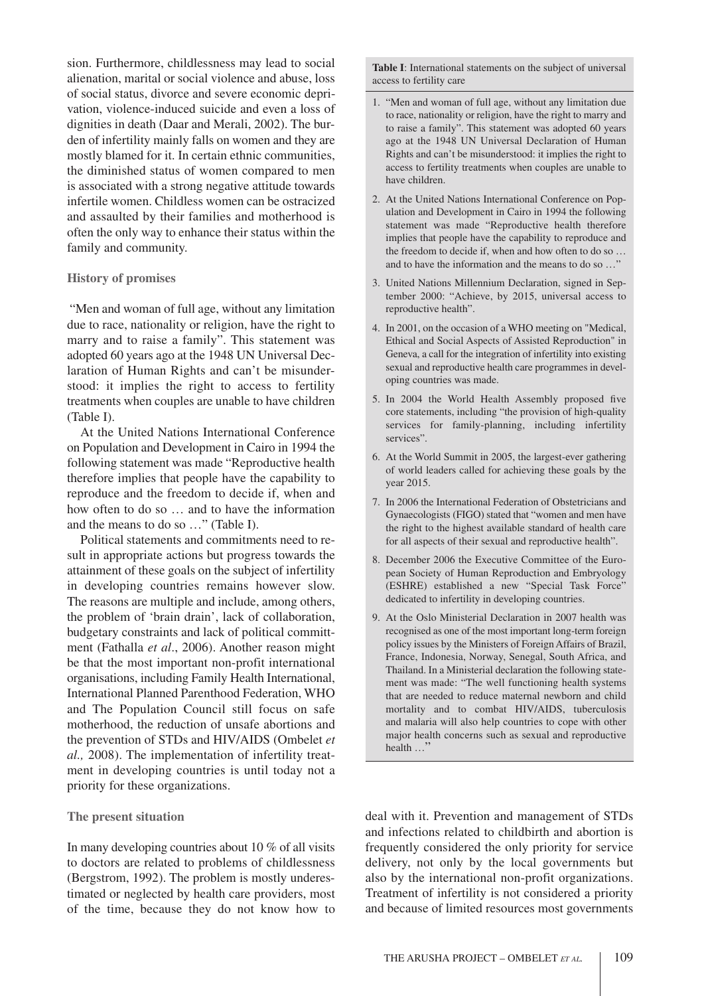sion. Furthermore, childlessness may lead to social alienation, marital or social violence and abuse, loss of social status, divorce and severe economic deprivation, violence-induced suicide and even a loss of dignities in death (Daar and Merali, 2002). The burden of infertility mainly falls on women and they are mostly blamed for it. In certain ethnic communities, the diminished status of women compared to men is associated with a strong negative attitude towards infertile women. Childless women can be ostracized and assaulted by their families and motherhood is often the only way to enhance their status within the family and community.

## **History of promises**

"Men and woman of full age, without any limitation due to race, nationality or religion, have the right to marry and to raise a family". This statement was adopted 60 years ago at the 1948 UN Universal Declaration of Human Rights and can't be misunderstood: it implies the right to access to fertility treatments when couples are unable to have children (Table I).

At the United Nations International Conference on Population and Development in Cairo in 1994 the following statement was made "Reproductive health therefore implies that people have the capability to reproduce and the freedom to decide if, when and how often to do so … and to have the information and the means to do so …" (Table I).

Political statements and commitments need to result in appropriate actions but progress towards the attainment of these goals on the subject of infertility in developing countries remains however slow. The reasons are multiple and include, among others, the problem of 'brain drain', lack of collaboration, budgetary constraints and lack of political committment (Fathalla *et al*., 2006). Another reason might be that the most important non-profit international organisations, including Family Health International, International Planned Parenthood Federation, WHO and The Population Council still focus on safe motherhood, the reduction of unsafe abortions and the prevention of STDs and HIV/AIDS (Ombelet *et al.,* 2008). The implementation of infertility treatment in developing countries is until today not a priority for these organizations.

## **The present situation**

In many developing countries about 10 % of all visits to doctors are related to problems of childlessness (Bergstrom, 1992). The problem is mostly underestimated or neglected by health care providers, most of the time, because they do not know how to

**Table I**: International statements on the subject of universal access to fertility care

- 1. "Men and woman of full age, without any limitation due to race, nationality or religion, have the right to marry and to raise a family". This statement was adopted 60 years ago at the 1948 UN Universal Declaration of Human Rights and can't be misunderstood: it implies the right to access to fertility treatments when couples are unable to have children.
- 2. At the United Nations International Conference on Population and Development in Cairo in 1994 the following statement was made "Reproductive health therefore implies that people have the capability to reproduce and the freedom to decide if, when and how often to do so … and to have the information and the means to do so ...'
- 3. United Nations Millennium Declaration, signed in September 2000: "Achieve, by 2015, universal access to reproductive health".
- 4. In 2001, on the occasion of a WHO meeting on "Medical, Ethical and Social Aspects of Assisted Reproduction" in Geneva, a call for the integration of infertility into existing sexual and reproductive health care programmes in developing countries was made.
- 5. In 2004 the World Health Assembly proposed five core statements, including "the provision of high-quality services for family-planning, including infertility services".
- 6. At the World Summit in 2005, the largest-ever gathering of world leaders called for achieving these goals by the year 2015.
- 7. In 2006 the International Federation of Obstetricians and Gynaecologists (FIGO) stated that "women and men have the right to the highest available standard of health care for all aspects of their sexual and reproductive health".
- 8. December 2006 the Executive Committee of the European Society of Human Reproduction and Embryology (ESHRE) established a new "Special Task Force" dedicated to infertility in developing countries.
- 9. At the Oslo Ministerial Declaration in 2007 health was recognised as one of the most important long-term foreign policy issues by the Ministers of Foreign Affairs of Brazil, France, Indonesia, Norway, Senegal, South Africa, and Thailand. In a Ministerial declaration the following statement was made: "The well functioning health systems that are needed to reduce maternal newborn and child mortality and to combat HIV/AIDS, tuberculosis and malaria will also help countries to cope with other major health concerns such as sexual and reproductive health ...'

deal with it. Prevention and management of STDs and infections related to childbirth and abortion is frequently considered the only priority for service delivery, not only by the local governments but also by the international non-profit organizations. Treatment of infertility is not considered a priority and because of limited resources most governments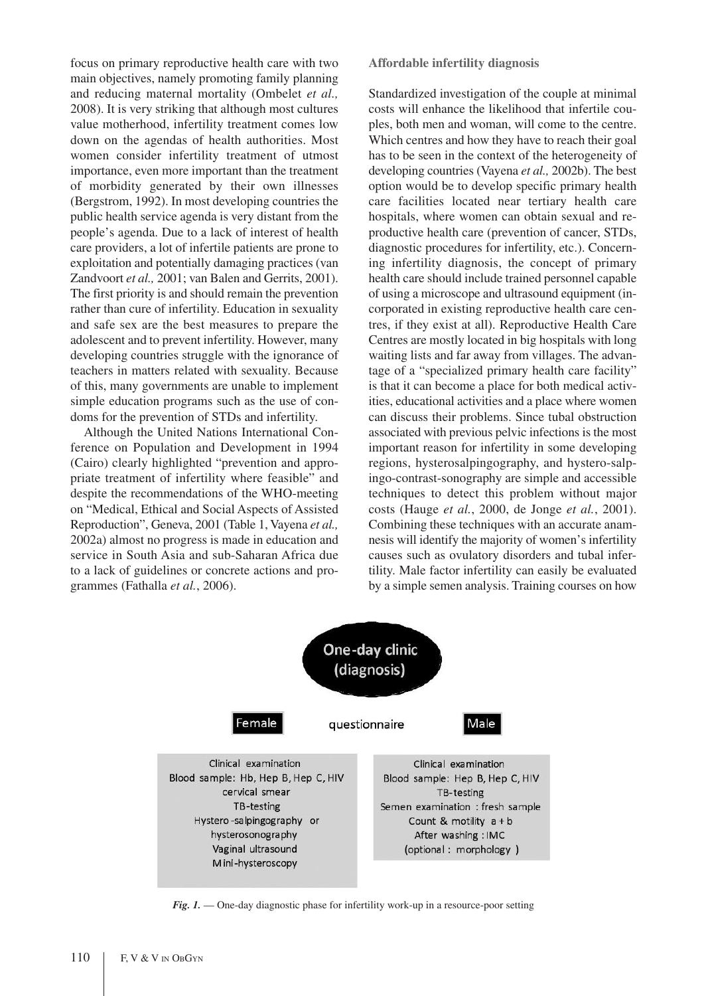focus on primary reproductive health care with two main objectives, namely promoting family planning and reducing maternal mortality (Ombelet *et al.,* 2008). It is very striking that although most cultures value motherhood, infertility treatment comes low down on the agendas of health authorities. Most women consider infertility treatment of utmost importance, even more important than the treatment of morbidity generated by their own illnesses (Bergstrom, 1992). In most developing countries the public health service agenda is very distant from the people's agenda. Due to a lack of interest of health care providers, a lot of infertile patients are prone to exploitation and potentially damaging practices (van Zandvoort *et al.,* 2001; van Balen and Gerrits, 2001). The first priority is and should remain the prevention rather than cure of infertility. Education in sexuality and safe sex are the best measures to prepare the adolescent and to prevent infertility. However, many developing countries struggle with the ignorance of teachers in matters related with sexuality. Because of this, many governments are unable to implement simple education programs such as the use of condoms for the prevention of STDs and infertility.

Although the United Nations International Conference on Population and Development in 1994 (Cairo) clearly highlighted "prevention and appropriate treatment of infertility where feasible" and despite the recommendations of the WHO-meeting on "Medical, Ethical and Social Aspects of Assisted Reproduction", Geneva, 2001 (Table 1, Vayena *et al.,* 2002a) almost no progress is made in education and service in South Asia and sub-Saharan Africa due to a lack of guidelines or concrete actions and programmes (Fathalla *et al.*, 2006).

**Affordable infertility diagnosis**

Standardized investigation of the couple at minimal costs will enhance the likelihood that infertile couples, both men and woman, will come to the centre. Which centres and how they have to reach their goal has to be seen in the context of the heterogeneity of developing countries (Vayena *et al.,* 2002b). The best option would be to develop specific primary health care facilities located near tertiary health care hospitals, where women can obtain sexual and reproductive health care (prevention of cancer, STDs, diagnostic procedures for infertility, etc.). Concerning infertility diagnosis, the concept of primary health care should include trained personnel capable of using a microscope and ultrasound equipment (incorporated in existing reproductive health care centres, if they exist at all). Reproductive Health Care Centres are mostly located in big hospitals with long waiting lists and far away from villages. The advantage of a "specialized primary health care facility" is that it can become a place for both medical activities, educational activities and a place where women can discuss their problems. Since tubal obstruction associated with previous pelvic infections is the most important reason for infertility in some developing regions, hysterosalpingography, and hystero-salpingo-contrast-sonography are simple and accessible techniques to detect this problem without major costs (Hauge *et al.*, 2000, de Jonge *et al.*, 2001). Combining these techniques with an accurate anamnesis will identify the majority of women's infertility causes such as ovulatory disorders and tubal infertility. Male factor infertility can easily be evaluated by a simple semen analysis. Training courses on how



*Fig. 1.* — One-day diagnostic phase for infertility work-up in a resource-poor setting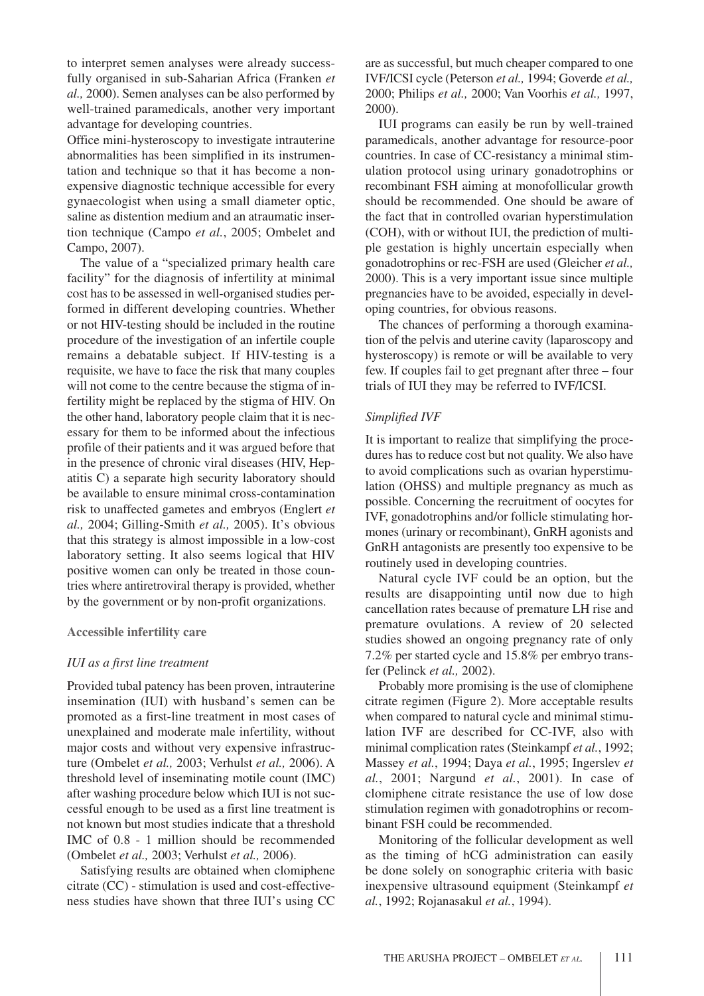to interpret semen analyses were already successfully organised in sub-Saharian Africa (Franken *et al.,* 2000). Semen analyses can be also performed by well-trained paramedicals, another very important advantage for developing countries.

Office mini-hysteroscopy to investigate intrauterine abnormalities has been simplified in its instrumentation and technique so that it has become a nonexpensive diagnostic technique accessible for every gynaecologist when using a small diameter optic, saline as distention medium and an atraumatic insertion technique (Campo *et al.*, 2005; Ombelet and Campo, 2007).

The value of a "specialized primary health care facility" for the diagnosis of infertility at minimal cost has to be assessed in well-organised studies performed in different developing countries. Whether or not HIV-testing should be included in the routine procedure of the investigation of an infertile couple remains a debatable subject. If HIV-testing is a requisite, we have to face the risk that many couples will not come to the centre because the stigma of infertility might be replaced by the stigma of HIV. On the other hand, laboratory people claim that it is necessary for them to be informed about the infectious profile of their patients and it was argued before that in the presence of chronic viral diseases (HIV, Hepatitis C) a separate high security laboratory should be available to ensure minimal cross-contamination risk to unaffected gametes and embryos (Englert *et al.,* 2004; Gilling-Smith *et al.,* 2005). It's obvious that this strategy is almost impossible in a low-cost laboratory setting. It also seems logical that HIV positive women can only be treated in those countries where antiretroviral therapy is provided, whether by the government or by non-profit organizations.

## **Accessible infertility care**

## *IUI as a first line treatment*

Provided tubal patency has been proven, intrauterine insemination (IUI) with husband's semen can be promoted as a first-line treatment in most cases of unexplained and moderate male infertility, without major costs and without very expensive infrastructure (Ombelet *et al.,* 2003; Verhulst *et al.,* 2006). A threshold level of inseminating motile count (IMC) after washing procedure below which IUI is not successful enough to be used as a first line treatment is not known but most studies indicate that a threshold IMC of 0.8 - 1 million should be recommended (Ombelet *et al.,* 2003; Verhulst *et al.,* 2006).

Satisfying results are obtained when clomiphene citrate (CC) - stimulation is used and cost-effectiveness studies have shown that three IUI's using CC

are as successful, but much cheaper compared to one IVF/ICSI cycle (Peterson *et al.,* 1994; Goverde *et al.,* 2000; Philips *et al.,* 2000; Van Voorhis *et al.,* 1997, 2000).

IUI programs can easily be run by well-trained paramedicals, another advantage for resource-poor countries. In case of CC-resistancy a minimal stimulation protocol using urinary gonadotrophins or recombinant FSH aiming at monofollicular growth should be recommended. One should be aware of the fact that in controlled ovarian hyperstimulation (COH), with or without IUI, the prediction of multiple gestation is highly uncertain especially when gonadotrophins or rec-FSH are used (Gleicher *et al.,* 2000). This is a very important issue since multiple pregnancies have to be avoided, especially in developing countries, for obvious reasons.

The chances of performing a thorough examination of the pelvis and uterine cavity (laparoscopy and hysteroscopy) is remote or will be available to very few. If couples fail to get pregnant after three – four trials of IUI they may be referred to IVF/ICSI.

## *Simplified IVF*

It is important to realize that simplifying the procedures has to reduce cost but not quality. We also have to avoid complications such as ovarian hyperstimulation (OHSS) and multiple pregnancy as much as possible. Concerning the recruitment of oocytes for IVF, gonadotrophins and/or follicle stimulating hormones (urinary or recombinant), GnRH agonists and GnRH antagonists are presently too expensive to be routinely used in developing countries.

Natural cycle IVF could be an option, but the results are disappointing until now due to high cancellation rates because of premature LH rise and premature ovulations. A review of 20 selected studies showed an ongoing pregnancy rate of only 7.2% per started cycle and 15.8% per embryo transfer (Pelinck *et al.,* 2002).

Probably more promising is the use of clomiphene citrate regimen (Figure 2). More acceptable results when compared to natural cycle and minimal stimulation IVF are described for CC-IVF, also with minimal complication rates (Steinkampf *et al.*, 1992; Massey *et al.*, 1994; Daya *et al.*, 1995; Ingerslev *et al.*, 2001; Nargund *et al.*, 2001). In case of clomiphene citrate resistance the use of low dose stimulation regimen with gonadotrophins or recombinant FSH could be recommended.

Monitoring of the follicular development as well as the timing of hCG administration can easily be done solely on sonographic criteria with basic inexpensive ultrasound equipment (Steinkampf *et al.*, 1992; Rojanasakul *et al.*, 1994).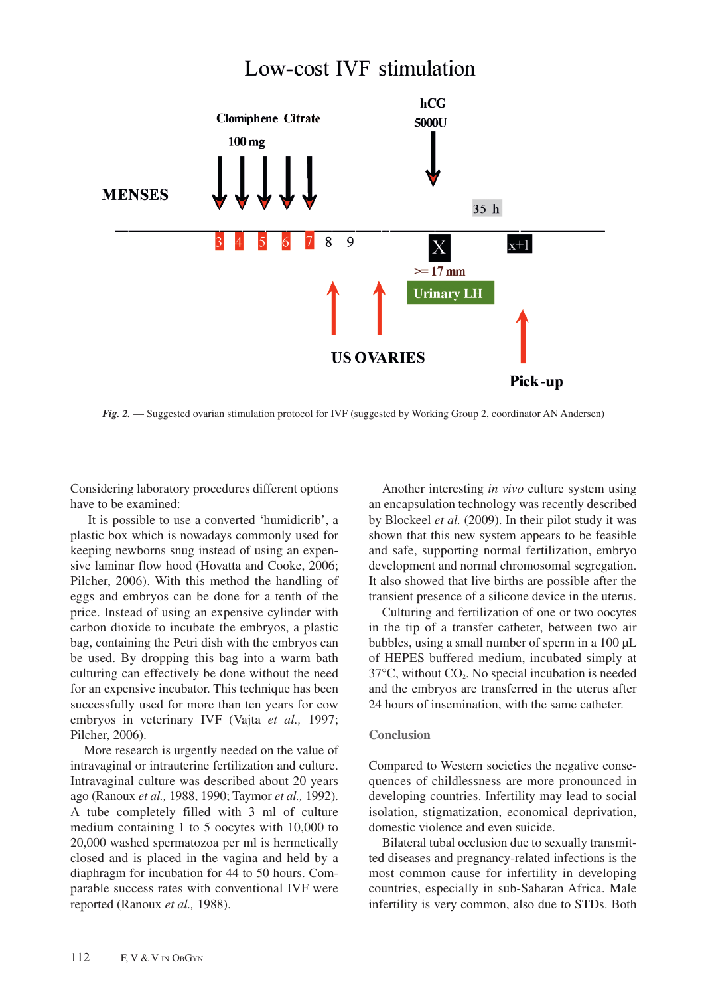## Low-cost IVF stimulation



*Fig. 2.* — Suggested ovarian stimulation protocol for IVF (suggested by Working Group 2, coordinator AN Andersen)

Considering laboratory procedures different options have to be examined:

It is possible to use a converted 'humidicrib', a plastic box which is nowadays commonly used for keeping newborns snug instead of using an expensive laminar flow hood (Hovatta and Cooke, 2006; Pilcher, 2006). With this method the handling of eggs and embryos can be done for a tenth of the price. Instead of using an expensive cylinder with carbon dioxide to incubate the embryos, a plastic bag, containing the Petri dish with the embryos can be used. By dropping this bag into a warm bath culturing can effectively be done without the need for an expensive incubator. This technique has been successfully used for more than ten years for cow embryos in veterinary IVF (Vajta *et al.,* 1997; Pilcher, 2006).

More research is urgently needed on the value of intravaginal or intrauterine fertilization and culture. Intravaginal culture was described about 20 years ago (Ranoux *et al.,* 1988, 1990; Taymor *et al.,* 1992). A tube completely filled with 3 ml of culture medium containing 1 to 5 oocytes with 10,000 to 20,000 washed spermatozoa per ml is hermetically closed and is placed in the vagina and held by a diaphragm for incubation for 44 to 50 hours. Comparable success rates with conventional IVF were reported (Ranoux *et al.,* 1988).

Another interesting *in vivo* culture system using an encapsulation technology was recently described by Blockeel *et al.* (2009). In their pilot study it was shown that this new system appears to be feasible and safe, supporting normal fertilization, embryo development and normal chromosomal segregation. It also showed that live births are possible after the transient presence of a silicone device in the uterus.

Culturing and fertilization of one or two oocytes in the tip of a transfer catheter, between two air bubbles, using a small number of sperm in a 100 µL of HEPES buffered medium, incubated simply at  $37^{\circ}$ C, without CO<sub>2</sub>. No special incubation is needed and the embryos are transferred in the uterus after 24 hours of insemination, with the same catheter.

## **Conclusion**

Compared to Western societies the negative consequences of childlessness are more pronounced in developing countries. Infertility may lead to social isolation, stigmatization, economical deprivation, domestic violence and even suicide.

Bilateral tubal occlusion due to sexually transmitted diseases and pregnancy-related infections is the most common cause for infertility in developing countries, especially in sub-Saharan Africa. Male infertility is very common, also due to STDs. Both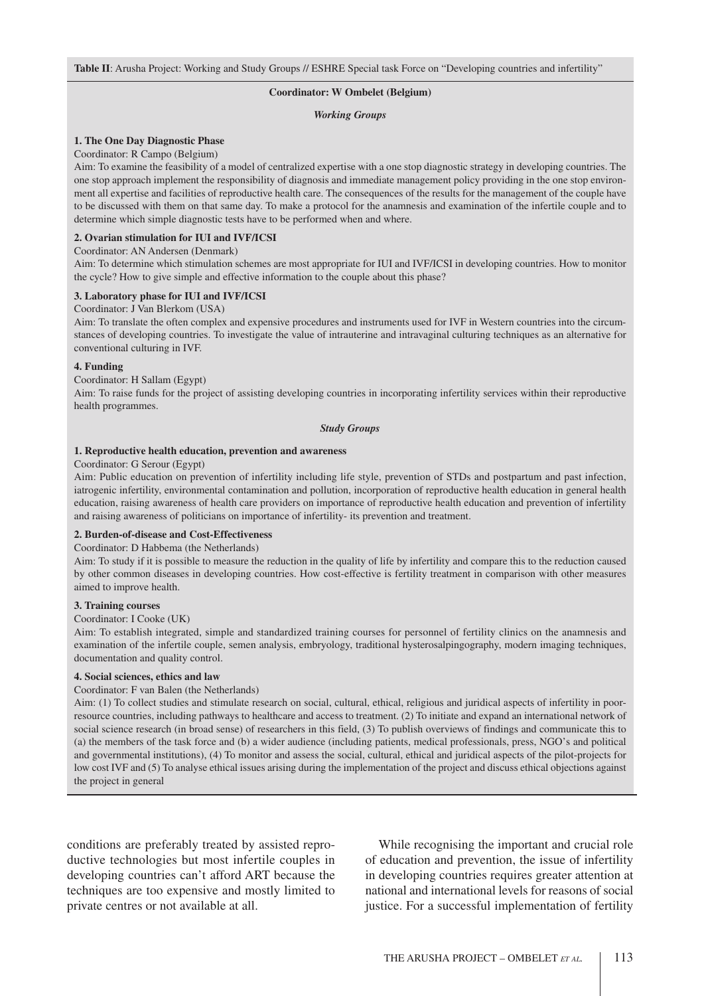## **Coordinator: W Ombelet (Belgium)**

#### *Working Groups*

## **1. The One Day Diagnostic Phase**

#### Coordinator: R Campo (Belgium)

Aim: To examine the feasibility of a model of centralized expertise with a one stop diagnostic strategy in developing countries. The one stop approach implement the responsibility of diagnosis and immediate management policy providing in the one stop environment all expertise and facilities of reproductive health care. The consequences of the results for the management of the couple have to be discussed with them on that same day. To make a protocol for the anamnesis and examination of the infertile couple and to determine which simple diagnostic tests have to be performed when and where.

### **2. Ovarian stimulation for IUI and IVF/ICSI**

#### Coordinator: AN Andersen (Denmark)

Aim: To determine which stimulation schemes are most appropriate for IUI and IVF/ICSI in developing countries. How to monitor the cycle? How to give simple and effective information to the couple about this phase?

## **3. Laboratory phase for IUI and IVF/ICSI**

## Coordinator: J Van Blerkom (USA)

Aim: To translate the often complex and expensive procedures and instruments used for IVF in Western countries into the circumstances of developing countries. To investigate the value of intrauterine and intravaginal culturing techniques as an alternative for conventional culturing in IVF.

#### **4. Funding**

## Coordinator: H Sallam (Egypt)

Aim: To raise funds for the project of assisting developing countries in incorporating infertility services within their reproductive health programmes.

#### *Study Groups*

#### **1. Reproductive health education, prevention and awareness**

#### Coordinator: G Serour (Egypt)

Aim: Public education on prevention of infertility including life style, prevention of STDs and postpartum and past infection, iatrogenic infertility, environmental contamination and pollution, incorporation of reproductive health education in general health education, raising awareness of health care providers on importance of reproductive health education and prevention of infertility and raising awareness of politicians on importance of infertility- its prevention and treatment.

#### **2. Burden-of-disease and Cost-Effectiveness**

#### Coordinator: D Habbema (the Netherlands)

Aim: To study if it is possible to measure the reduction in the quality of life by infertility and compare this to the reduction caused by other common diseases in developing countries. How cost-effective is fertility treatment in comparison with other measures aimed to improve health.

#### **3. Training courses**

#### Coordinator: I Cooke (UK)

Aim: To establish integrated, simple and standardized training courses for personnel of fertility clinics on the anamnesis and examination of the infertile couple, semen analysis, embryology, traditional hysterosalpingography, modern imaging techniques, documentation and quality control.

#### **4. Social sciences, ethics and law**

## Coordinator: F van Balen (the Netherlands)

Aim: (1) To collect studies and stimulate research on social, cultural, ethical, religious and juridical aspects of infertility in poorresource countries, including pathways to healthcare and access to treatment. (2) To initiate and expand an international network of social science research (in broad sense) of researchers in this field, (3) To publish overviews of findings and communicate this to (a) the members of the task force and (b) a wider audience (including patients, medical professionals, press, NGO's and political and governmental institutions), (4) To monitor and assess the social, cultural, ethical and juridical aspects of the pilot-projects for low cost IVF and (5) To analyse ethical issues arising during the implementation of the project and discuss ethical objections against the project in general

conditions are preferably treated by assisted reproductive technologies but most infertile couples in developing countries can't afford ART because the techniques are too expensive and mostly limited to private centres or not available at all.

While recognising the important and crucial role of education and prevention, the issue of infertility in developing countries requires greater attention at national and international levels for reasons of social justice. For a successful implementation of fertility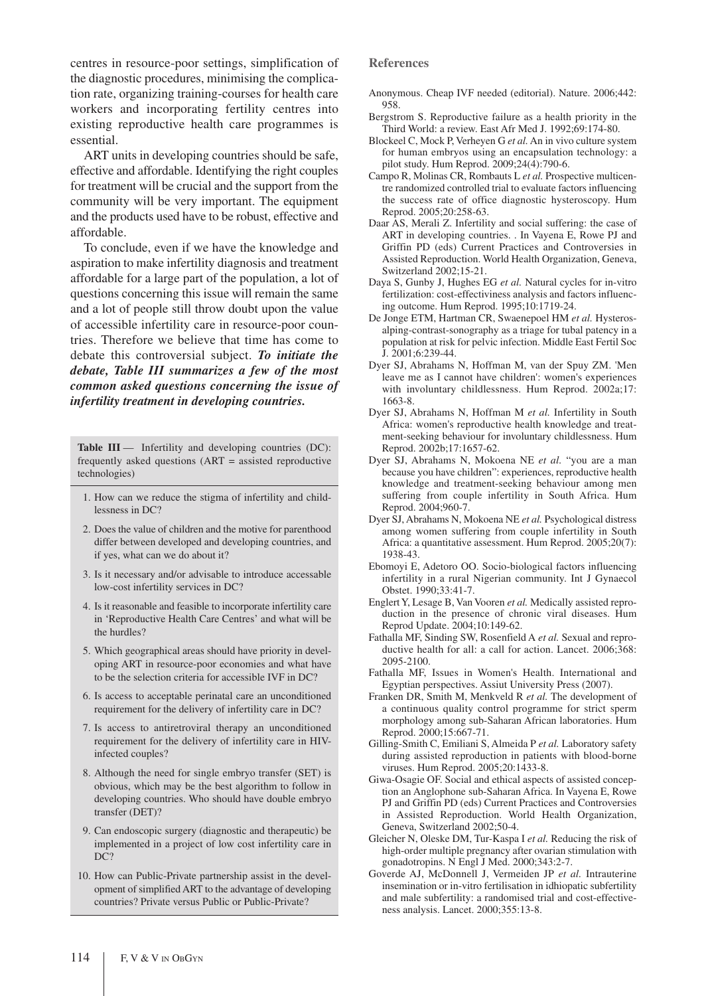centres in resource-poor settings, simplification of the diagnostic procedures, minimising the complication rate, organizing training-courses for health care workers and incorporating fertility centres into existing reproductive health care programmes is essential.

ART units in developing countries should be safe, effective and affordable. Identifying the right couples for treatment will be crucial and the support from the community will be very important. The equipment and the products used have to be robust, effective and affordable.

To conclude, even if we have the knowledge and aspiration to make infertility diagnosis and treatment affordable for a large part of the population, a lot of questions concerning this issue will remain the same and a lot of people still throw doubt upon the value of accessible infertility care in resource-poor countries. Therefore we believe that time has come to debate this controversial subject. *To initiate the debate, Table III summarizes a few of the most common asked questions concerning the issue of infertility treatment in developing countries.*

**Table III** — Infertility and developing countries (DC): frequently asked questions (ART = assisted reproductive technologies)

- 1. How can we reduce the stigma of infertility and childlessness in DC?
- 2. Does the value of children and the motive for parenthood differ between developed and developing countries, and if yes, what can we do about it?
- 3. Is it necessary and/or advisable to introduce accessable low-cost infertility services in DC?
- 4. Is it reasonable and feasible to incorporate infertility care in 'Reproductive Health Care Centres' and what will be the hurdles?
- 5. Which geographical areas should have priority in developing ART in resource-poor economies and what have to be the selection criteria for accessible IVF in DC?
- 6. Is access to acceptable perinatal care an unconditioned requirement for the delivery of infertility care in DC?
- 7. Is access to antiretroviral therapy an unconditioned requirement for the delivery of infertility care in HIVinfected couples?
- 8. Although the need for single embryo transfer (SET) is obvious, which may be the best algorithm to follow in developing countries. Who should have double embryo transfer (DET)?
- 9. Can endoscopic surgery (diagnostic and therapeutic) be implemented in a project of low cost infertility care in DC?
- 10. How can Public-Private partnership assist in the development of simplified ART to the advantage of developing countries? Private versus Public or Public-Private?

## **References**

- Anonymous. Cheap IVF needed (editorial). Nature. 2006;442: 958.
- Bergstrom S. Reproductive failure as a health priority in the Third World: a review. East Afr Med J. 1992;69:174-80.
- Blockeel C, Mock P, Verheyen G *et al.* An in vivo culture system for human embryos using an encapsulation technology: a pilot study. Hum Reprod. 2009;24(4):790-6.
- Campo R, Molinas CR, Rombauts L *et al.* Prospective multicentre randomized controlled trial to evaluate factors influencing the success rate of office diagnostic hysteroscopy. Hum Reprod. 2005;20:258-63.
- Daar AS, Merali Z. Infertility and social suffering: the case of ART in developing countries. . In Vayena E, Rowe PJ and Griffin PD (eds) Current Practices and Controversies in Assisted Reproduction. World Health Organization, Geneva, Switzerland 2002;15-21.
- Daya S, Gunby J, Hughes EG *et al.* Natural cycles for in-vitro fertilization: cost-effectiviness analysis and factors influencing outcome. Hum Reprod. 1995;10:1719-24.
- De Jonge ETM, Hartman CR, Swaenepoel HM *et al.* Hysterosalping-contrast-sonography as a triage for tubal patency in a population at risk for pelvic infection. Middle East Fertil Soc J. 2001;6:239-44.
- Dyer SJ, Abrahams N, Hoffman M, van der Spuy ZM. 'Men leave me as I cannot have children': women's experiences with involuntary childlessness. Hum Reprod. 2002a;17: 1663-8.
- Dyer SJ, Abrahams N, Hoffman M *et al.* Infertility in South Africa: women's reproductive health knowledge and treatment-seeking behaviour for involuntary childlessness. Hum Reprod. 2002b;17:1657-62.
- Dyer SJ, Abrahams N, Mokoena NE *et al.* "you are a man because you have children": experiences, reproductive health knowledge and treatment-seeking behaviour among men suffering from couple infertility in South Africa. Hum Reprod. 2004;960-7.
- Dyer SJ, Abrahams N, Mokoena NE *et al.* Psychological distress among women suffering from couple infertility in South Africa: a quantitative assessment. Hum Reprod. 2005;20(7): 1938-43.
- Ebomoyi E, Adetoro OO. Socio-biological factors influencing infertility in a rural Nigerian community. Int J Gynaecol Obstet. 1990;33:41-7.
- EnglertY, Lesage B, Van Vooren *et al.* Medically assisted reproduction in the presence of chronic viral diseases. Hum Reprod Update. 2004;10:149-62.
- Fathalla MF, Sinding SW, Rosenfield A *et al.* Sexual and reproductive health for all: a call for action. Lancet. 2006;368: 2095-2100.
- Fathalla MF, Issues in Women's Health. International and Egyptian perspectives. Assiut University Press (2007).
- Franken DR, Smith M, Menkveld R *et al.* The development of a continuous quality control programme for strict sperm morphology among sub-Saharan African laboratories. Hum Reprod. 2000;15:667-71.
- Gilling-Smith C, Emiliani S, Almeida P *et al.* Laboratory safety during assisted reproduction in patients with blood-borne viruses. Hum Reprod. 2005;20:1433-8.
- Giwa-Osagie OF. Social and ethical aspects of assisted conception an Anglophone sub-Saharan Africa. In Vayena E, Rowe PJ and Griffin PD (eds) Current Practices and Controversies in Assisted Reproduction. World Health Organization, Geneva, Switzerland 2002;50-4.
- Gleicher N, Oleske DM, Tur-Kaspa I *et al.* Reducing the risk of high-order multiple pregnancy after ovarian stimulation with gonadotropins. N Engl J Med. 2000;343:2-7.
- Goverde AJ, McDonnell J, Vermeiden JP *et al.* Intrauterine insemination or in-vitro fertilisation in idhiopatic subfertility and male subfertility: a randomised trial and cost-effectiveness analysis. Lancet. 2000;355:13-8.